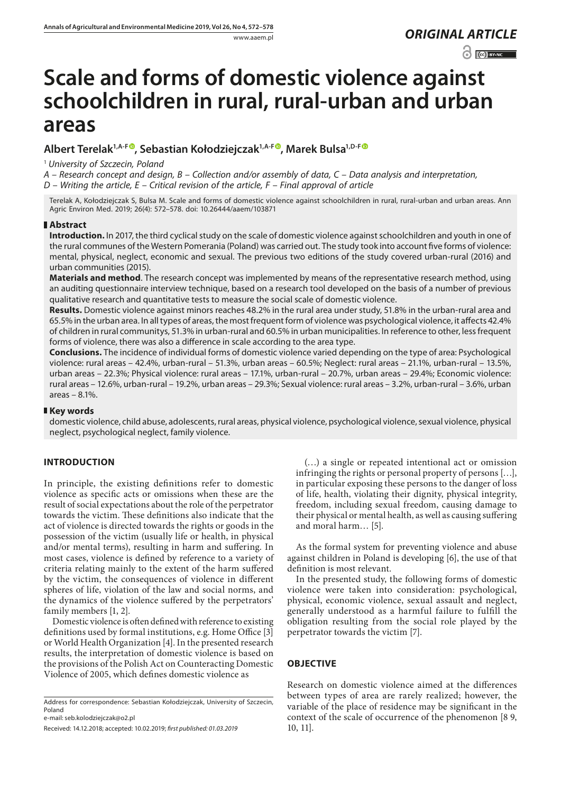## www.aaem.pl *ORIGINAL [ARTICLE](http://creativecommons.org/licenses/by-nc/3.0/pl/deed.en)*

 $\odot$   $\odot$  BY-NC

# **Scale and forms of domestic violence against schoolchildren in rural, rural-urban and urban areas**

### **Albert Terelak1,A-F [,](https://orcid.org/0000-0003-2033-6946) Sebastian Kołodziejczak1,A-[F](https://orcid.org/0000-0002-3642-6295) , Marek Bulsa1,D-F**

<sup>1</sup> *University of Szczecin, Poland*

*A – Research concept and design, B – Collection and/or assembly of data, C – Data analysis and interpretation,* 

*D – Writing the article, E – Critical revision of the article, F – Final approval of article*

Terelak A, Kołodziejczak S, Bulsa M. Scale and forms of domestic violence against schoolchildren in rural, rural-urban and urban areas. Ann Agric Environ Med. 2019; 26(4): 572–578. doi: 10.26444/aaem/103871

#### **Abstract**

**Introduction.** In 2017, the third cyclical study on the scale of domestic violence against schoolchildren and youth in one of the rural communes of the Western Pomerania (Poland) was carried out. The study took into account five forms of violence: mental, physical, neglect, economic and sexual. The previous two editions of the study covered urban-rural (2016) and urban communities (2015).

**Materials and method**. The research concept was implemented by means of the representative research method, using an auditing questionnaire interview technique, based on a research tool developed on the basis of a number of previous qualitative research and quantitative tests to measure the social scale of domestic violence.

**Results.** Domestic violence against minors reaches 48.2% in the rural area under study, 51.8% in the urban-rural area and 65.5% in the urban area. In all types of areas, the most frequent form of violence was psychological violence, it affects 42.4% of children in rural communitys, 51.3% in urban-rural and 60.5% in urban municipalities. In reference to other, less frequent forms of violence, there was also a difference in scale according to the area type.

**Conclusions.** The incidence of individual forms of domestic violence varied depending on the type of area: Psychological violence: rural areas – 42.4%, urban-rural – 51.3%, urban areas – 60.5%; Neglect: rural areas – 21.1%, urban-rural – 13.5%, urban areas – 22.3%; Physical violence: rural areas – 17.1%, urban-rural – 20.7%, urban areas – 29.4%; Economic violence: rural areas – 12.6%, urban-rural – 19.2%, urban areas – 29.3%; Sexual violence: rural areas – 3.2%, urban-rural – 3.6%, urban areas – 8.1%.

#### **Key words**

domestic violence, child abuse, adolescents, rural areas, physical violence, psychological violence, sexual violence, physical neglect, psychological neglect, family violence.

#### **INTRODUCTION**

In principle, the existing definitions refer to domestic violence as specific acts or omissions when these are the result of social expectations about the role of the perpetrator towards the victim. These definitions also indicate that the act of violence is directed towards the rights or goods in the possession of the victim (usually life or health, in physical and/or mental terms), resulting in harm and suffering. In most cases, violence is defined by reference to a variety of criteria relating mainly to the extent of the harm suffered by the victim, the consequences of violence in different spheres of life, violation of the law and social norms, and the dynamics of the violence suffered by the perpetrators' family members [1, 2].

Domestic violence is often defined with reference to existing definitions used by formal institutions, e.g. Home Office [3] or World Health Organization [4]. In the presented research results, the interpretation of domestic violence is based on the provisions of the Polish Act on Counteracting Domestic Violence of 2005, which defines domestic violence as

Address for correspondence: Sebastian Kołodziejczak, University of Szczecin, Poland

e-mail: seb.kolodziejczak@o2.pl

(…) a single or repeated intentional act or omission infringing the rights or personal property of persons […], in particular exposing these persons to the danger of loss of life, health, violating their dignity, physical integrity, freedom, including sexual freedom, causing damage to their physical or mental health, as well as causing suffering and moral harm… [5].

As the formal system for preventing violence and abuse against children in Poland is developing [6], the use of that definition is most relevant.

In the presented study, the following forms of domestic violence were taken into consideration: psychological, physical, economic violence, sexual assault and neglect, generally understood as a harmful failure to fulfill the obligation resulting from the social role played by the perpetrator towards the victim [7].

#### **OBJECTIVE**

Research on domestic violence aimed at the differences between types of area are rarely realized; however, the variable of the place of residence may be significant in the context of the scale of occurrence of the phenomenon [8 9, 10, 11].

Received: 14.12.2018; accepted: 10.02.2019; *first published: 01.03.2019*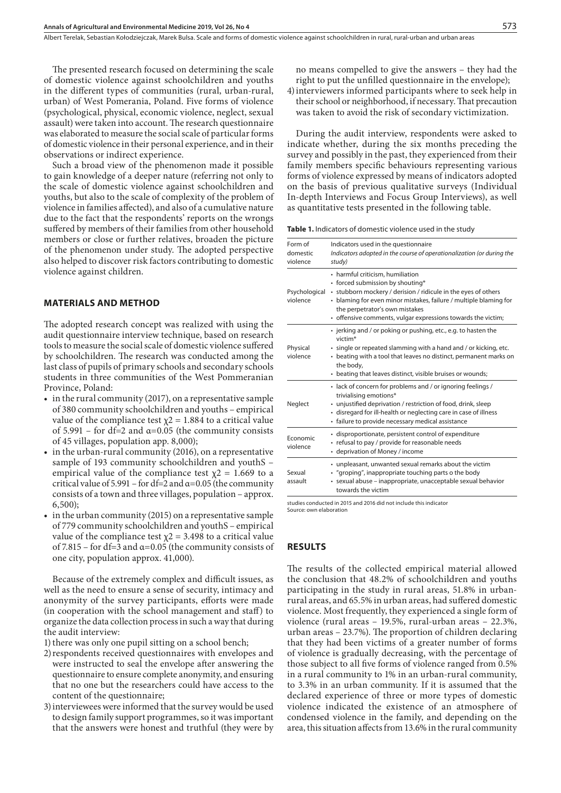The presented research focused on determining the scale of domestic violence against schoolchildren and youths in the different types of communities (rural, urban-rural, urban) of West Pomerania, Poland. Five forms of violence (psychological, physical, economic violence, neglect, sexual assault) were taken into account. The research questionnaire was elaborated to measure the social scale of particular forms of domestic violence in their personal experience, and in their observations or indirect experience.

Such a broad view of the phenomenon made it possible to gain knowledge of a deeper nature (referring not only to the scale of domestic violence against schoolchildren and youths, but also to the scale of complexity of the problem of violence in families affected), and also of a cumulative nature due to the fact that the respondents' reports on the wrongs suffered by members of their families from other household members or close or further relatives, broaden the picture of the phenomenon under study. The adopted perspective also helped to discover risk factors contributing to domestic violence against children.

#### **MATERIALS AND METHOD**

The adopted research concept was realized with using the audit questionnaire interview technique, based on research tools to measure the social scale of domestic violence suffered by schoolchildren. The research was conducted among the last class of pupils of primary schools and secondary schools students in three communities of the West Pommeranian Province, Poland:

- $\bullet$  in the rural community (2017), on a representative sample of 380 community schoolchildren and youths – empirical value of the compliance test  $\chi$ 2 = 1.884 to a critical value of 5.991 – for df=2 and  $\alpha$ =0.05 (the community consists of 45 villages, population app. 8,000);
- in the urban-rural community (2016), on a representative sample of 193 community schoolchildren and youthS – empirical value of the compliance test  $\chi$ 2 = 1.669 to a critical value of 5.991 – for df=2 and  $\alpha$ =0.05 (the community consists of a town and three villages, population – approx. 6,500);
- in the urban community (2015) on a representative sample of 779 community schoolchildren and youthS – empirical value of the compliance test  $\chi$ 2 = 3.498 to a critical value of 7.815 – for df=3 and  $\alpha$ =0.05 (the community consists of one city, population approx. 41,000).

Because of the extremely complex and difficult issues, as well as the need to ensure a sense of security, intimacy and anonymity of the survey participants, efforts were made (in cooperation with the school management and staff) to organize the data collection process in such a way that during the audit interview:

1) there was only one pupil sitting on a school bench;

- 2)respondents received questionnaires with envelopes and were instructed to seal the envelope after answering the questionnaire to ensure complete anonymity, and ensuring that no one but the researchers could have access to the content of the questionnaire;
- 3)interviewees were informed that the survey would be used to design family support programmes, so it was important that the answers were honest and truthful (they were by

no means compelled to give the answers – they had the right to put the unfilled questionnaire in the envelope);

4)interviewers informed participants where to seek help in their school or neighborhood, if necessary. That precaution was taken to avoid the risk of secondary victimization.

During the audit interview, respondents were asked to indicate whether, during the six months preceding the survey and possibly in the past, they experienced from their family members specific behaviours representing various forms of violence expressed by means of indicators adopted on the basis of previous qualitative surveys (Individual In-depth Interviews and Focus Group Interviews), as well as quantitative tests presented in the following table.

**Table 1.** Indicators of domestic violence used in the study

| Form of<br>domestic<br>violence | Indicators used in the questionnaire<br>Indicators adopted in the course of operationalization (or during the<br>study)                                                                                                                                                                                       |
|---------------------------------|---------------------------------------------------------------------------------------------------------------------------------------------------------------------------------------------------------------------------------------------------------------------------------------------------------------|
| Psychological<br>violence       | • harmful criticism, humiliation<br>• forced submission by shouting*<br>• stubborn mockery / derision / ridicule in the eyes of others<br>• blaming for even minor mistakes, failure / multiple blaming for<br>the perpetrator's own mistakes<br>• offensive comments, vulgar expressions towards the victim; |
| Physical<br>violence            | • jerking and / or poking or pushing, etc., e.g. to hasten the<br>victim <sup>*</sup><br>· single or repeated slamming with a hand and / or kicking, etc.<br>• beating with a tool that leaves no distinct, permanent marks on<br>the body,<br>• beating that leaves distinct, visible bruises or wounds;     |
| Neglect                         | · lack of concern for problems and / or ignoring feelings /<br>trivialising emotions*<br>• unjustified deprivation / restriction of food, drink, sleep<br>· disregard for ill-health or neglecting care in case of illness<br>· failure to provide necessary medical assistance                               |
| Fronomic<br>violence            | · disproportionate, persistent control of expenditure<br>• refusal to pay / provide for reasonable needs<br>• deprivation of Money / income                                                                                                                                                                   |
| Sexual<br>assault               | • unpleasant, unwanted sexual remarks about the victim<br>• "groping", inappropriate touching parts o the body<br>· sexual abuse - inappropriate, unacceptable sexual behavior<br>towards the victim                                                                                                          |

studies conducted in 2015 and 2016 did not include this indicator Source: own elaboration

#### **RESULTS**

The results of the collected empirical material allowed the conclusion that 48.2% of schoolchildren and youths participating in the study in rural areas, 51.8% in urbanrural areas, and 65.5% in urban areas, had suffered domestic violence. Most frequently, they experienced a single form of violence (rural areas – 19.5%, rural-urban areas – 22.3%, urban areas – 23.7%). The proportion of children declaring that they had been victims of a greater number of forms of violence is gradually decreasing, with the percentage of those subject to all five forms of violence ranged from 0.5% in a rural community to 1% in an urban-rural community, to 3.3% in an urban community. If it is assumed that the declared experience of three or more types of domestic violence indicated the existence of an atmosphere of condensed violence in the family, and depending on the area, this situation affects from 13.6% in the rural community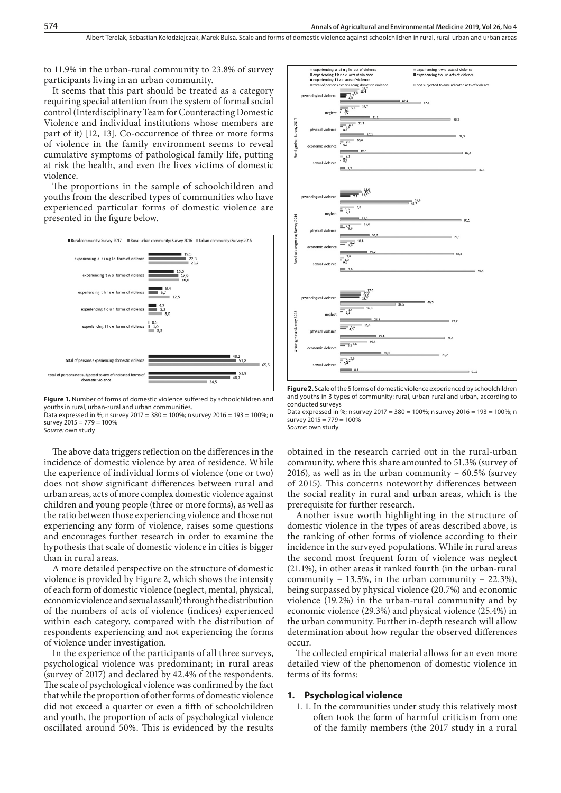to 11.9% in the urban-rural community to 23.8% of survey participants living in an urban community.

It seems that this part should be treated as a category requiring special attention from the system of formal social control (Interdisciplinary Team for Counteracting Domestic Violence and individual institutions whose members are part of it) [12, 13]. Co-occurrence of three or more forms of violence in the family environment seems to reveal cumulative symptoms of pathological family life, putting at risk the health, and even the lives victims of domestic violence.

The proportions in the sample of schoolchildren and youths from the described types of communities who have experienced particular forms of domestic violence are presented in the figure below.





Data expressed in %; n survey 2017 = 380 = 100%; n survey 2016 = 193 = 100%; n survey 2015 = 779 = 100%

*Source:* own study

The above data triggers reflection on the differences in the incidence of domestic violence by area of residence. While the experience of individual forms of violence (one or two) does not show significant differences between rural and urban areas, acts of more complex domestic violence against children and young people (three or more forms), as well as the ratio between those experiencing violence and those not experiencing any form of violence, raises some questions and encourages further research in order to examine the hypothesis that scale of domestic violence in cities is bigger than in rural areas.

A more detailed perspective on the structure of domestic violence is provided by Figure 2, which shows the intensity of each form of domestic violence (neglect, mental, physical, economic violence and sexual assault) through the distribution of the numbers of acts of violence (indices) experienced within each category, compared with the distribution of respondents experiencing and not experiencing the forms of violence under investigation.

In the experience of the participants of all three surveys, psychological violence was predominant; in rural areas (survey of 2017) and declared by 42.4% of the respondents. The scale of psychological violence was confirmed by the fact that while the proportion of other forms of domestic violence did not exceed a quarter or even a fifth of schoolchildren and youth, the proportion of acts of psychological violence oscillated around 50%. This is evidenced by the results



**Figure 2.** Scale of the 5 forms of domestic violence experienced by schoolchildren and youths in 3 types of community: rural, urban-rural and urban, according to conducted surveys

Data expressed in %; n survey 2017 = 380 = 100%; n survey 2016 = 193 = 100%; n survey  $2015 = 779 = 100\%$ 

*Source:* own study

obtained in the research carried out in the rural-urban community, where this share amounted to 51.3% (survey of 2016), as well as in the urban community – 60.5% (survey of 2015). This concerns noteworthy differences between the social reality in rural and urban areas, which is the prerequisite for further research.

Another issue worth highlighting in the structure of domestic violence in the types of areas described above, is the ranking of other forms of violence according to their incidence in the surveyed populations. While in rural areas the second most frequent form of violence was neglect (21.1%), in other areas it ranked fourth (in the urban-rural community – 13.5%, in the urban community – 22.3%), being surpassed by physical violence (20.7%) and economic violence (19.2%) in the urban-rural community and by economic violence (29.3%) and physical violence (25.4%) in the urban community. Further in-depth research will allow determination about how regular the observed differences occur.

The collected empirical material allows for an even more detailed view of the phenomenon of domestic violence in terms of its forms:

#### **1. Psychological violence**

1. 1. In the communities under study this relatively most often took the form of harmful criticism from one of the family members (the 2017 study in a rural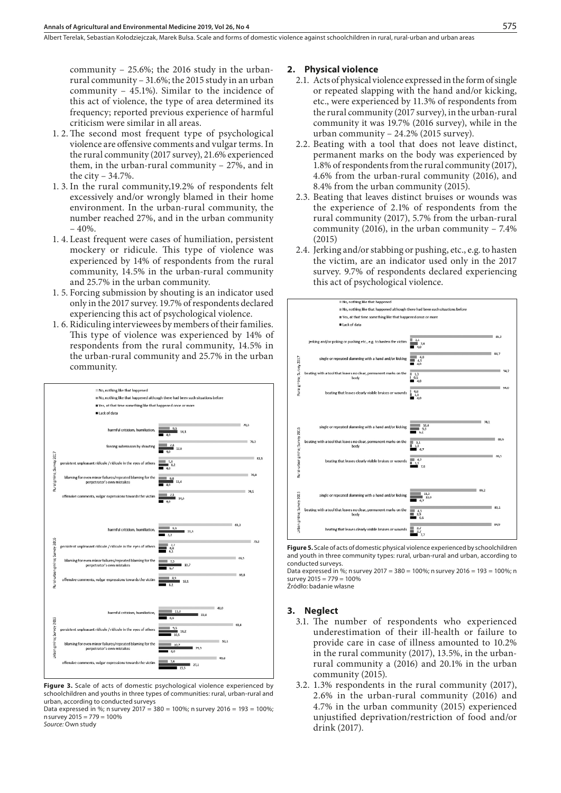community – 25.6%; the 2016 study in the urbanrural community – 31.6%; the 2015 study in an urban community – 45.1%). Similar to the incidence of this act of violence, the type of area determined its frequency; reported previous experience of harmful criticism were similar in all areas.

- 1. 2.The second most frequent type of psychological violence are offensive comments and vulgar terms. In the rural community (2017 survey), 21.6% experienced them, in the urban-rural community – 27%, and in the city – 34.7%.
- 1. 3. In the rural community,19.2% of respondents felt excessively and/or wrongly blamed in their home environment. In the urban-rural community, the number reached 27%, and in the urban community  $-40%$ .
- 1. 4. Least frequent were cases of humiliation, persistent mockery or ridicule. This type of violence was experienced by 14% of respondents from the rural community, 14.5% in the urban-rural community and 25.7% in the urban community.
- 1. 5. Forcing submission by shouting is an indicator used only in the 2017 survey. 19.7% of respondents declared experiencing this act of psychological violence.
- 1. 6. Ridiculing interviewees by members of their families. This type of violence was experienced by 14% of respondents from the rural community, 14.5% in the urban-rural community and 25.7% in the urban community.



**Figure 3.** Scale of acts of domestic psychological violence experienced by schoolchildren and youths in three types of communities: rural, urban-rural and urban, according to conducted surveys

Data expressed in %; n survey  $2017 = 380 = 100$ %; n survey  $2016 = 193 = 100$ %; nsurvey 2015 = 779 = 100% *Source:* Own study

#### **2. Physical violence**

- 2.1. Acts of physical violence expressed in the form of single or repeated slapping with the hand and/or kicking, etc., were experienced by 11.3% of respondents from the rural community (2017 survey), in the urban-rural community it was 19.7% (2016 survey), while in the urban community – 24.2% (2015 survey).
- 2.2. Beating with a tool that does not leave distinct, permanent marks on the body was experienced by 1.8% of respondents from the rural community (2017), 4.6% from the urban-rural community (2016), and 8.4% from the urban community (2015).
- 2.3. Beating that leaves distinct bruises or wounds was the experience of 2.1% of respondents from the rural community (2017), 5.7% from the urban-rural community (2016), in the urban community – 7.4% (2015)
- 2.4. Jerking and/or stabbing or pushing, etc., e.g. to hasten the victim, are an indicator used only in the 2017 survey. 9.7% of respondents declared experiencing this act of psychological violence.



**Figure 5.** Scale of acts of domestic physical violence experienced by schoolchildren and youth in three community types: rural, urban-rural and urban, according to conducted surveys.

Data expressed in %; n survey 2017 = 380 = 100%; n survey 2016 = 193 = 100%; n survey  $2015 = 779 = 100\%$ Źródło: badanie własne

### **3. Neglect**

- 3.1. The number of respondents who experienced underestimation of their ill-health or failure to provide care in case of illness amounted to 10.2% in the rural community (2017), 13.5%, in the urbanrural community a (2016) and 20.1% in the urban community (2015).
- 3.2. 1.3% respondents in the rural community (2017), 2.6% in the urban-rural community (2016) and 4.7% in the urban community (2015) experienced unjustified deprivation/restriction of food and/or drink (2017).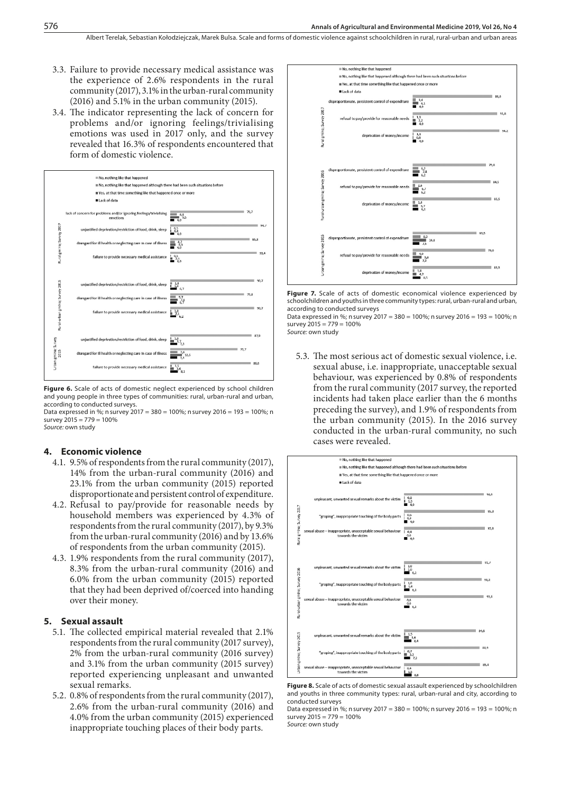- 3.3. Failure to provide necessary medical assistance was the experience of 2.6% respondents in the rural community (2017), 3.1% in the urban-rural community (2016) and 5.1% in the urban community (2015).
- 3.4. The indicator representing the lack of concern for problems and/or ignoring feelings/trivialising emotions was used in 2017 only, and the survey revealed that 16.3% of respondents encountered that form of domestic violence.



Figure 6. Scale of acts of domestic neglect experienced by school children and young people in three types of communities: rural, urban-rural and urban, according to conducted surveys.

Data expressed in %; n survey 2017 = 380 = 100%; n survey 2016 = 193 = 100%; n survey  $2015 = 779 = 100\%$ *Source:* own study

#### **4. Economic violence**

- 4.1. 9.5% of respondents from the rural community (2017), 14% from the urban-rural community (2016) and 23.1% from the urban community (2015) reported disproportionate and persistent control of expenditure.
- 4.2. Refusal to pay/provide for reasonable needs by household members was experienced by 4.3% of respondents from the rural community (2017), by 9.3% from the urban-rural community (2016) and by 13.6% of respondents from the urban community (2015).
- 4.3. 1.9% respondents from the rural community (2017), 8.3% from the urban-rural community (2016) and 6.0% from the urban community (2015) reported that they had been deprived of/coerced into handing over their money.

#### **5. Sexual assault**

- 5.1. The collected empirical material revealed that 2.1% respondents from the rural community (2017 survey), 2% from the urban-rural community (2016 survey) and 3.1% from the urban community (2015 survey) reported experiencing unpleasant and unwanted sexual remarks.
- 5.2. 0.8% of respondents from the rural community (2017), 2.6% from the urban-rural community (2016) and 4.0% from the urban community (2015) experienced inappropriate touching places of their body parts.



**Figure 7.** Scale of acts of domestic economical violence experienced by schoolchildren and youths in three community types: rural, urban-rural and urban, according to conducted surveys

Data expressed in %; n survey 2017 = 380 = 100%; n survey 2016 = 193 = 100%; n survey 2015 = 779 = 100% *Source:* own study

5.3. The most serious act of domestic sexual violence, i.e. sexual abuse, i.e. inappropriate, unacceptable sexual behaviour, was experienced by 0.8% of respondents from the rural community (2017 survey, the reported incidents had taken place earlier than the 6 months preceding the survey), and 1.9% of respondents from the urban community (2015). In the 2016 survey conducted in the urban-rural community, no such cases were revealed.



**Figure 8.** Scale of acts of domestic sexual assault experienced by schoolchildren and youths in three community types: rural, urban-rural and city, according to conducted surveys

Data expressed in %; n survey 2017 = 380 = 100%; n survey 2016 = 193 = 100%; n survey  $2015 = 779 = 100\%$ *Source:* own study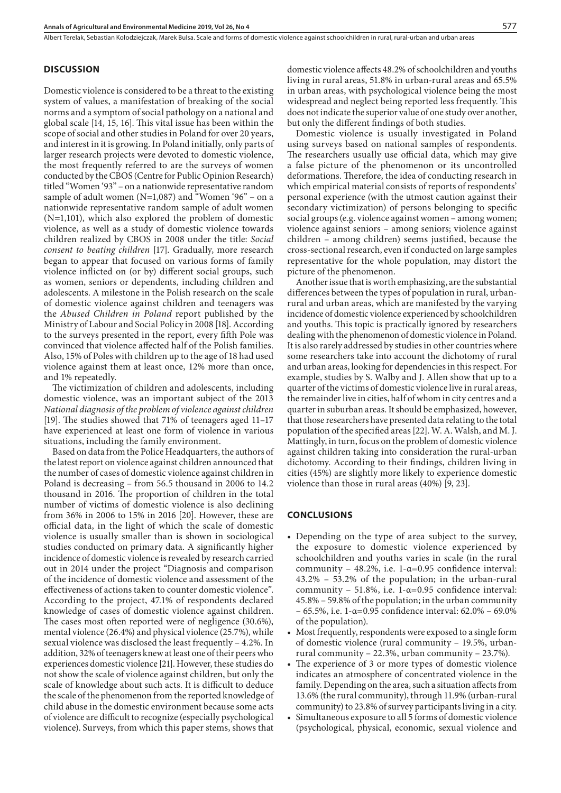#### **DISCUSSION**

Domestic violence is considered to be a threat to the existing system of values, a manifestation of breaking of the social norms and a symptom of social pathology on a national and global scale [14, 15, 16]. This vital issue has been within the scope of social and other studies in Poland for over 20 years, and interest in it is growing. In Poland initially, only parts of larger research projects were devoted to domestic violence, the most frequently referred to are the surveys of women conducted by the CBOS (Centre for Public Opinion Research) titled "Women '93" – on a nationwide representative random sample of adult women  $(N=1,087)$  and "Women '96" – on a nationwide representative random sample of adult women (N=1,101), which also explored the problem of domestic violence, as well as a study of domestic violence towards children realized by CBOS in 2008 under the title: *Social consent to beating children* [17]. Gradually, more research began to appear that focused on various forms of family violence inflicted on (or by) different social groups, such as women, seniors or dependents, including children and adolescents. A milestone in the Polish research on the scale of domestic violence against children and teenagers was the *Abused Children in Poland* report published by the Ministry of Labour and Social Policy in 2008 [18]. According to the surveys presented in the report, every fifth Pole was convinced that violence affected half of the Polish families. Also, 15% of Poles with children up to the age of 18 had used violence against them at least once, 12% more than once, and 1% repeatedly.

The victimization of children and adolescents, including domestic violence, was an important subject of the 2013 *National diagnosis of the problem of violence against children* [19]. The studies showed that 71% of teenagers aged 11–17 have experienced at least one form of violence in various situations, including the family environment.

Based on data from the Police Headquarters, the authors of the latest report on violence against children announced that the number of cases of domestic violence against children in Poland is decreasing – from 56.5 thousand in 2006 to 14.2 thousand in 2016. The proportion of children in the total number of victims of domestic violence is also declining from 36% in 2006 to 15% in 2016 [20]. However, these are official data, in the light of which the scale of domestic violence is usually smaller than is shown in sociological studies conducted on primary data. A significantly higher incidence of domestic violence is revealed by research carried out in 2014 under the project "Diagnosis and comparison of the incidence of domestic violence and assessment of the effectiveness of actions taken to counter domestic violence". According to the project, 47.1% of respondents declared knowledge of cases of domestic violence against children. The cases most often reported were of negligence (30.6%), mental violence (26.4%) and physical violence (25.7%), while sexual violence was disclosed the least frequently – 4.2%. In addition, 32% of teenagers knew at least one of their peers who experiences domestic violence [21]. However, these studies do not show the scale of violence against children, but only the scale of knowledge about such acts. It is difficult to deduce the scale of the phenomenon from the reported knowledge of child abuse in the domestic environment because some acts of violence are difficult to recognize (especially psychological violence). Surveys, from which this paper stems, shows that

domestic violence affects 48.2% of schoolchildren and youths living in rural areas, 51.8% in urban-rural areas and 65.5% in urban areas, with psychological violence being the most widespread and neglect being reported less frequently. This does not indicate the superior value of one study over another, but only the different findings of both studies.

Domestic violence is usually investigated in Poland using surveys based on national samples of respondents. The researchers usually use official data, which may give a false picture of the phenomenon or its uncontrolled deformations. Therefore, the idea of conducting research in which empirical material consists of reports of respondents' personal experience (with the utmost caution against their secondary victimization) of persons belonging to specific social groups (e.g. violence against women – among women; violence against seniors – among seniors; violence against children – among children) seems justified, because the cross-sectional research, even if conducted on large samples representative for the whole population, may distort the picture of the phenomenon.

Another issue that is worth emphasizing, are the substantial differences between the types of population in rural, urbanrural and urban areas, which are manifested by the varying incidence of domestic violence experienced by schoolchildren and youths. This topic is practically ignored by researchers dealing with the phenomenon of domestic violence in Poland. It is also rarely addressed by studies in other countries where some researchers take into account the dichotomy of rural and urban areas, looking for dependencies in this respect. For example, studies by S. Walby and J. Allen show that up to a quarter of the victims of domestic violence live in rural areas, the remainder live in cities, half of whom in city centres and a quarter in suburban areas. It should be emphasized, however, that those researchers have presented data relating to the total population of the specified areas [22]. W. A. Walsh, and M. J. Mattingly, in turn, focus on the problem of domestic violence against children taking into consideration the rural-urban dichotomy. According to their findings, children living in cities (45%) are slightly more likely to experience domestic violence than those in rural areas (40%) [9, 23].

#### **CONCLUSIONS**

- Depending on the type of area subject to the survey, the exposure to domestic violence experienced by schoolchildren and youths varies in scale (in the rural community – 48.2%, i.e. 1-α=0.95 confidence interval: 43.2% – 53.2% of the population; in the urban-rural community – 51.8%, i.e. 1-α=0.95 confidence interval: 45.8% – 59.8% of the population; in the urban community – 65.5%, i.e. 1-α=0.95 confidence interval: 62.0% – 69.0% of the population).
- • Most frequently, respondents were exposed to a single form of domestic violence (rural community – 19.5%, urbanrural community – 22.3%, urban community – 23.7%).
- The experience of 3 or more types of domestic violence indicates an atmosphere of concentrated violence in the family. Depending on the area, such a situation affects from 13.6% (the rural community), through 11.9% (urban-rural community) to 23.8% of survey participants living in a city.
- Simultaneous exposure to all 5 forms of domestic violence (psychological, physical, economic, sexual violence and